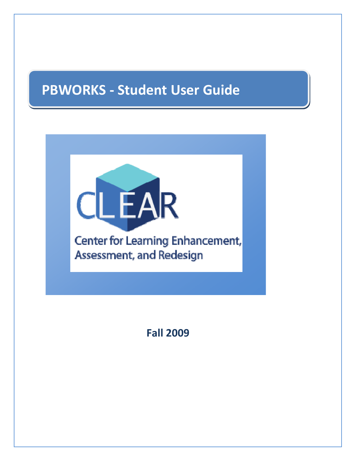# **PBWORKS - Student User Guide**



 **Fall 2009**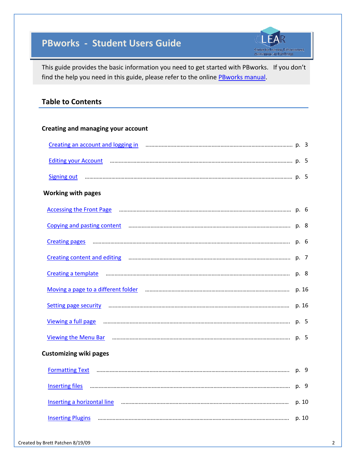# **PBworks - Student Users Guide**



This guide provides the basic information you need to get started with PBworks. If you don't find the help you need in this guide, please refer to the online [PBworks manual.](http://usermanual.pbworks.com/)

#### **Table to Contents**

#### **Creating and managing your account**

| Creating an account and logging in manufactured and the control of a state of a state of a state of a state of                                                                                                                 |       |  |
|--------------------------------------------------------------------------------------------------------------------------------------------------------------------------------------------------------------------------------|-------|--|
| Editing your Account manufactured and the country of the country of the country of the country of the country of the country of the country of the country of the country of the country of the country of the country of the  |       |  |
| Signing out manufactured and the contract of the state of the state of the state of the state of the state of the state of the Signing out and p. 5                                                                            |       |  |
| <b>Working with pages</b>                                                                                                                                                                                                      |       |  |
| Accessing the Front Page manufactured and content and p. 6                                                                                                                                                                     |       |  |
| Copying and pasting content minimum minimum minimum minimum minimum minimum p. 8                                                                                                                                               |       |  |
|                                                                                                                                                                                                                                |       |  |
|                                                                                                                                                                                                                                |       |  |
| Creating a template manufacture and contract and contract and contract and contract and contract and contract and contract and contract and contract and contract and contract and contract and contract and contract and cont |       |  |
| Moving a page to a different folder manufactured and continuum manufactured and p. 16                                                                                                                                          |       |  |
| Setting page security manufactured and the control of the page security manufactured and p. 16                                                                                                                                 |       |  |
| Viewing a full page manufactured and the contract p. 5                                                                                                                                                                         |       |  |
| Viewing the Menu Bar manufacture and the contract part of the Menu Barras and Barry B. 5                                                                                                                                       |       |  |
| <b>Customizing wiki pages</b>                                                                                                                                                                                                  |       |  |
| Formatting Text manufactured and the contract of the contract of the contract of the contract of the contract of the contract of the contract of the contract of the contract of the contract of the contract of the contract  |       |  |
|                                                                                                                                                                                                                                |       |  |
| Inserting a horizontal line <b>continuum continuum continuum continuum</b> p. 10                                                                                                                                               |       |  |
| <b>Inserting Plugins</b>                                                                                                                                                                                                       | p. 10 |  |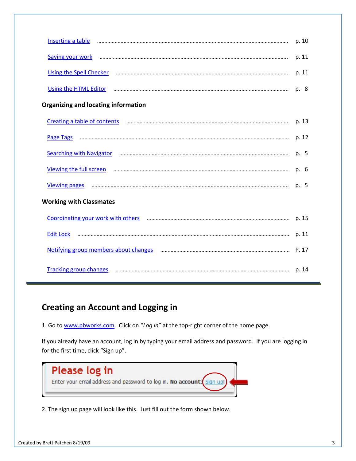<span id="page-2-0"></span>

| Inserting a table                                                                                                                                                                                                             | p. 10 |
|-------------------------------------------------------------------------------------------------------------------------------------------------------------------------------------------------------------------------------|-------|
| <b>Saving your work</b>                                                                                                                                                                                                       | p. 11 |
| Using the Spell Checker <b>Manufacture and Checker Manufacture and Checker Manufacture and Checker Manufacture and Checker Checker Manufacture and Checker Checker Checker Checker Checker Checker Checker</b>                | p. 11 |
| Using the HTML Editor                                                                                                                                                                                                         | p. 8  |
| <b>Organizing and locating information</b>                                                                                                                                                                                    |       |
|                                                                                                                                                                                                                               | p. 13 |
|                                                                                                                                                                                                                               | p. 12 |
|                                                                                                                                                                                                                               | p. 5  |
| Viewing the full screen manufactured and contact the state of the state of the state of the state of the state of the state of the state of the state of the state of the state of the state of the state of the state of the | p. 6  |
|                                                                                                                                                                                                                               | p. 5  |
| <b>Working with Classmates</b>                                                                                                                                                                                                |       |
| Coordinating your work with others manufactured and the coordinating your work with others manufactured and the                                                                                                               | p. 15 |
| <b>Edit Lock</b>                                                                                                                                                                                                              | p. 11 |
|                                                                                                                                                                                                                               | P. 17 |
| Tracking group changes manufactured and continuum and contact the contract of the contract of the contract of                                                                                                                 | p. 14 |

# **Creating an Account and Logging in**

1. Go to [www.pbworks.com.](http://www.pbworks.com/) Click on "*Log in*" at the top-right corner of the home page.

If you already have an account, log in by typing your email address and password. If you are logging in for the first time, click "Sign up".



2. The sign up page will look like this. Just fill out the form shown below.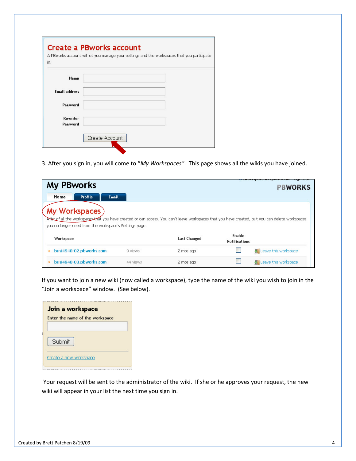| Name                 |  |  |  |
|----------------------|--|--|--|
| <b>Email address</b> |  |  |  |
| Password             |  |  |  |
| Re-enter<br>Password |  |  |  |

3. After you sign in, you will come to "*My Workspaces"*. This page shows all the wikis you have joined.

| My PBworks                                                                                                                                                                                                                  |         |                     |                      | <b>PBWORKS</b>       |
|-----------------------------------------------------------------------------------------------------------------------------------------------------------------------------------------------------------------------------|---------|---------------------|----------------------|----------------------|
| Home<br><b>Profile</b><br><b>Email</b>                                                                                                                                                                                      |         |                     |                      |                      |
| My Workspaces<br>A ist of all the workspaces that you have created or can access. You can't leave workspaces that you have created, but you can delete workspaces<br>you no longer need from the workspace's Settings page. |         |                     |                      |                      |
|                                                                                                                                                                                                                             |         |                     | Enable               |                      |
| Workspace                                                                                                                                                                                                                   |         | <b>Last Changed</b> | <b>Notifications</b> |                      |
| busi4940-02.pbworks.com<br>$\bullet$                                                                                                                                                                                        | 9 views | 2 mos ago           |                      | Leave this workspace |

If you want to join a new wiki (now called a workspace), type the name of the wiki you wish to join in the "Join a workspace" window. (See below).

| Enter the name of the workspace |  |  |
|---------------------------------|--|--|
| Submit                          |  |  |
|                                 |  |  |

 Your request will be sent to the administrator of the wiki. If she or he approves your request, the new wiki will appear in your list the next time you sign in.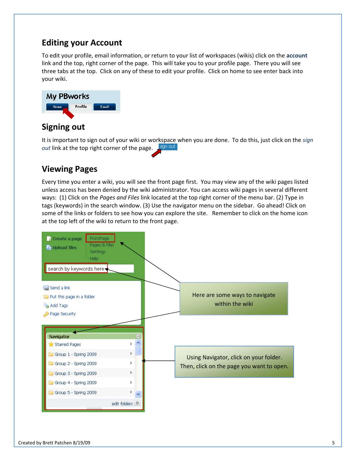# <span id="page-4-0"></span>**Editing your Account**

To edit your profile, email information, or return to your list of workspaces (wikis) click on the **account** link and the top, right corner of the page. This will take you to your profile page. There you will see three tabs at the top. Click on any of these to edit your profile. Click on home to see enter back into your wiki.



#### **Signing out**

It is important to sign out of your wiki or workspace when you are done. To do this, just click on the *sign out* link at the top right corner of the page. sign out

# **Viewing Pages**

Every time you enter a wiki, you will see the front page first. You may view any of the wiki pages listed unless access has been denied by the wiki administrator. You can access wiki pages in several different ways: (1) Click on the *Pages and Files* link located at the top right corner of the menu bar. (2) Type in tags (keywords) in the search window. (3) Use the navigator menu on the sidebar. Go ahead! Click on some of the links or folders to see how you can explore the site. Remember to click on the home icon at the top left of the wiki to return to the front page.

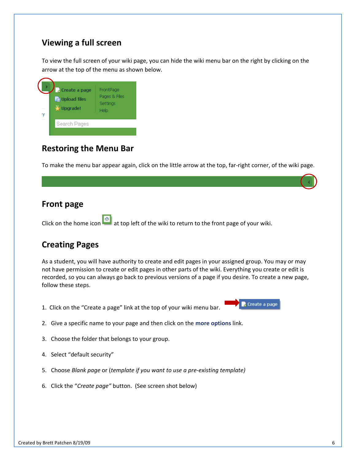# <span id="page-5-0"></span>**Viewing a full screen**

To view the full screen of your wiki page, you can hide the wiki menu bar on the right by clicking on the arrow at the top of the menu as shown below.



### **Restoring the Menu Bar**

To make the menu bar appear again, click on the little arrow at the top, far-right corner, of the wiki page.

### **Front page**

Click on the home icon  $\left|\hat{\Phi}\right|$  at top left of the wiki to return to the front page of your wiki.

# **Creating Pages**

As a student, you will have authority to create and edit pages in your assigned group. You may or may not have permission to create or edit pages in other parts of the wiki. Everything you create or edit is recorded, so you can always go back to previous versions of a page if you desire. To create a new page, follow these steps.

1. Click on the "Create a page" link at the top of your wiki menu bar.

**R** Create a page

- 2. Give a specific name to your page and then click on the **more options** link.
- 3. Choose the folder that belongs to your group.
- 4. Select "default security"
- 5. Choose *Blank page* or (*template if you want to use a pre-existing template)*
- 6. Click the "*Create page"* button. (See screen shot below)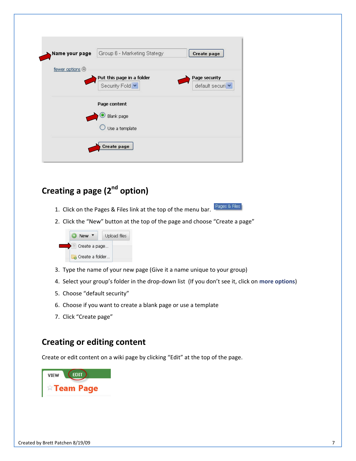<span id="page-6-0"></span>

| Name your page | Group 6 - Marketing Stategy                                | <b>Create page</b>                |
|----------------|------------------------------------------------------------|-----------------------------------|
| fewer options  |                                                            |                                   |
|                | <b>Put this page in a folder</b><br>Security Fold <b>v</b> | Page security<br>default securi v |
|                | Page content                                               |                                   |
|                | Blank page                                                 |                                   |
|                | Use a template                                             |                                   |
|                | Create page                                                |                                   |

# **Creating a page (2nd option)**

- 1. Click on the Pages & Files link at the top of the menu bar.  $\frac{P \text{ages } 8 \text{ Files}}{P \text{ maps}}$
- 2. Click the "New" button at the top of the page and choose "Create a page"



- 3. Type the name of your new page (Give it a name unique to your group)
- 4. Select your group's folder in the drop-down list (If you don't see it, click on **more options**)
- 5. Choose "default security"
- 6. Choose if you want to create a blank page or use a template
- 7. Click "Create page"

### **Creating or editing content**

Create or edit content on a wiki page by clicking "Edit" at the top of the page.

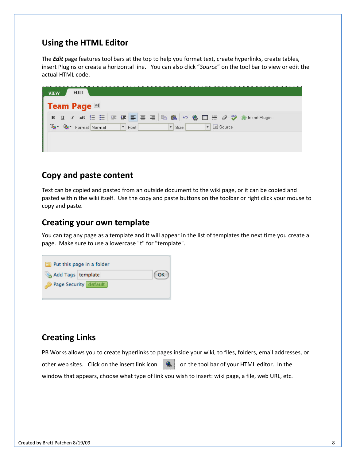## <span id="page-7-0"></span>**Using the HTML Editor**

The *Edit* page features tool bars at the top to help you format text, create hyperlinks, create tables, insert Plugins or create a horizontal line. You can also click "*Source*" on the tool bar to view or edit the actual HTML code.

| <b>EDIT</b><br><b>VIEW</b><br>Team Page<br>B U I ABC 三三年年三三三国商 D Q 回 三 O ツ カ Insert Plugin<br>$\vert \cdot \vert$ Size |                                                                                            |
|------------------------------------------------------------------------------------------------------------------------|--------------------------------------------------------------------------------------------|
|                                                                                                                        | Ty - Ou - Format Normal<br>$\vert \cdot \vert$ $\equiv$ Source<br>$\vert \cdot \vert$ Font |
|                                                                                                                        |                                                                                            |
|                                                                                                                        |                                                                                            |
|                                                                                                                        |                                                                                            |

## **Copy and paste content**

Text can be copied and pasted from an outside document to the wiki page, or it can be copied and pasted within the wiki itself. Use the copy and paste buttons on the toolbar or right click your mouse to copy and paste.

#### **Creating your own template**

You can tag any page as a template and it will appear in the list of templates the next time you create a page. Make sure to use a lowercase "t" for "template".



# **Creating Links**

PB Works allows you to create hyperlinks to pages inside your wiki, to files, folders, email addresses, or other web sites. Click on the insert link icon on the tool bar of your HTML editor. In the window that appears, choose what type of link you wish to insert: wiki page, a file, web URL, etc.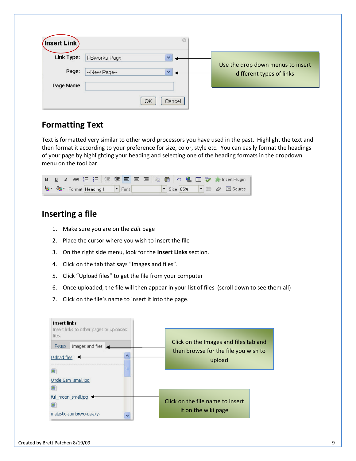<span id="page-8-0"></span>

| Insert Link |              | $\circledcirc$ |                                                               |
|-------------|--------------|----------------|---------------------------------------------------------------|
| Link Type:  | PBworks Page | $\checkmark$   |                                                               |
| Page:       | --New Page-- | $\checkmark$   | Use the drop down menus to insert<br>different types of links |
| Page Name   |              |                |                                                               |
|             |              | OK<br>Cancel   |                                                               |

## **Formatting Text**

Text is formatted very similar to other word processors you have used in the past. Highlight the text and then format it according to your preference for size, color, style etc. You can easily format the headings of your page by highlighting your heading and selecting one of the heading formats in the dropdown menu on the tool bar.



### **Inserting a file**

- 1. Make sure you are on the *Edit* page
- 2. Place the cursor where you wish to insert the file
- 3. On the right side menu, look for the **Insert Links** section.
- 4. Click on the tab that says "Images and files".
- 5. Click "Upload files" to get the file from your computer
- 6. Once uploaded, the file will then appear in your list of files (scroll down to see them all)
- 7. Click on the file's name to insert it into the page.

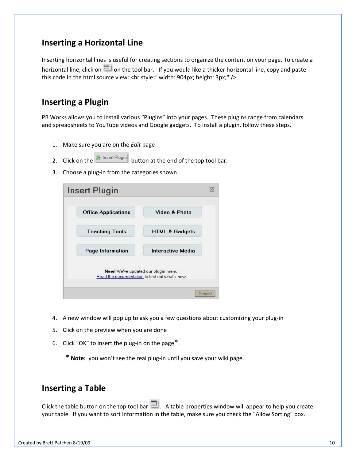### <span id="page-9-0"></span>**Inserting a Horizontal Line**

Inserting horizontal lines is useful for creating sections to organize the content on your page. To create a horizontal line, click on  $\equiv$  on the tool bar. If you would like a thicker horizontal line, copy and paste this code in the html source view: <hr style="width: 904px; height: 3px;" />

### **Inserting a Plugin**

PB Works allows you to install various "Plugins" into your pages. These plugins range from calendars and spreadsheets to YouTube videos and Google gadgets. To install a plugin, follow these steps.

- 1. Make sure you are on the *Edit* page
- 2. Click on the **but the set Plugin** button at the end of the top tool bar.
- 3. Choose a plug-in from the categories shown

| <b>Office Applications</b> | <b>Video &amp; Photo</b>                                                              |
|----------------------------|---------------------------------------------------------------------------------------|
| <b>Teaching Tools</b>      | <b>HTML &amp; Gadgets</b>                                                             |
| Page Information           | <b>Interactive Media</b>                                                              |
|                            | New! We've updated our plugin menu.<br>Read the documentation to find out what's new. |

- 4. A new window will pop up to ask you a few questions about customizing your plug-in
- 5. Click on the preview when you are done
- 6. Click "OK" to insert the plug-in on the page".
	- \* **Note:** you won't see the real plug-in until you save your wiki page.

#### **Inserting a Table**

Click the table button on the top tool bar  $\Box$ . A table properties window will appear to help you create your table. If you want to sort information in the table, make sure you check the "Allow Sorting" box.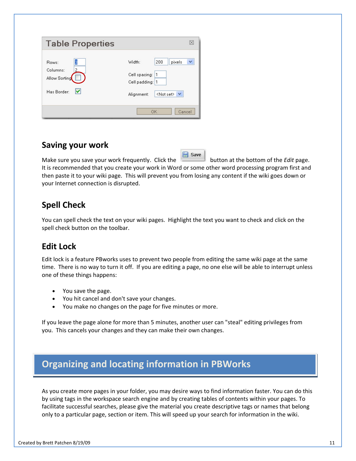| Created by Brett Patchen 8/19/09 |  |
|----------------------------------|--|
|                                  |  |

<span id="page-10-0"></span>

| <b>Table Properties</b>                                          | $\times$                                                                                               |
|------------------------------------------------------------------|--------------------------------------------------------------------------------------------------------|
| 3<br>Rows:<br>Columns:<br>2<br>Allow Sorting<br>M<br>Has Border: | pixels<br>200<br>Width:<br>Cell spacing:<br>Cell padding: 1<br><not set=""><br/>Alignment:<br/>v</not> |
|                                                                  | OK<br>Cancel                                                                                           |

# **Saving your work**

Save Make sure you save your work frequently. Click the **button at the bottom of the** *Edit* page. It is recommended that you create your work in Word or some other word processing program first and then paste it to your wiki page. This will prevent you from losing any content if the wiki goes down or your Internet connection is disrupted.

# **Spell Check**

You can spell check the text on your wiki pages. Highlight the text you want to check and click on the spell check button on the toolbar.

# **Edit Lock**

Edit lock is a feature PBworks uses to prevent two people from editing the same wiki page at the same time. There is no way to turn it off. If you are editing a page, no one else will be able to interrupt unless one of these things happens:

- You save the page.
- You hit cancel and don't save your changes.
- You make no changes on the page for five minutes or more.

If you leave the page alone for more than 5 minutes, another user can "steal" editing privileges from you. This cancels your changes and they can make their own changes.

# **Organizing and locating information in PBWorks**

As you create more pages in your folder, you may desire ways to find information faster. You can do this by using tags in the workspace search engine and by creating tables of contents within your pages. To facilitate successful searches, please give the material you create descriptive tags or names that belong only to a particular page, section or item. This will speed up your search for information in the wiki.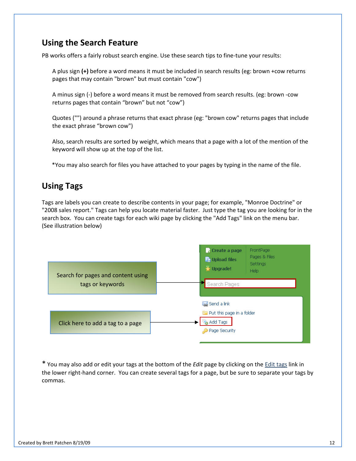## <span id="page-11-0"></span>**Using the Search Feature**

PB works offers a fairly robust search engine. Use these search tips to fine-tune your results:

A plus sign **(+)** before a word means it must be included in search results (eg: brown +cow returns pages that may contain "brown" but must contain "cow")

A minus sign (-) before a word means it must be removed from search results. (eg: brown -cow returns pages that contain "brown" but not "cow")

Quotes ("") around a phrase returns that exact phrase (eg: "brown cow" returns pages that include the exact phrase "brown cow")

Also, search results are sorted by weight, which means that a page with a lot of the mention of the keyword will show up at the top of the list.

\*You may also search for files you have attached to your pages by typing in the name of the file.

## **Using Tags**

Tags are labels you can create to describe contents in your page; for example, "Monroe Doctrine" or "2008 sales report." Tags can help you locate material faster. Just type the tag you are looking for in the search box. You can create tags for each wiki page by clicking the "Add Tags" link on the menu bar. (See illustration below)



\* You may also add or edit your tags at the bottom of the *Edit* page by clicking on the Edit tags link in the lower right-hand corner. You can create several tags for a page, but be sure to separate your tags by commas.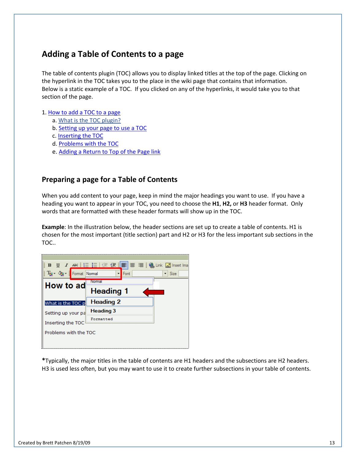# <span id="page-12-0"></span>**Adding a Table of Contents to a page**

The table of contents plugin (TOC) allows you to display linked titles at the top of the page. Clicking on the hyperlink in the TOC takes you to the place in the wiki page that contains that information. Below is a static example of a TOC. If you clicked on any of the hyperlinks, it would take you to that section of the page.

#### 1. How to add a TOC to a page

- a. What is the TOC plugin?
- b. Setting up your page to use a TOC
- c. Inserting the TOC
- d. Problems with the TOC
- e. Adding a Return to Top of the Page link

#### **Preparing a page for a Table of Contents**

When you add content to your page, keep in mind the major headings you want to use. If you have a heading you want to appear in your TOC, you need to choose the **H1**, **H2,** or **H3** header format. Only words that are formatted with these header formats will show up in the TOC.

**Example**: In the illustration below, the header sections are set up to create a table of contents. H1 is chosen for the most important (title section) part and H2 or H3 for the less important sub sections in the TOC..



**\***Typically, the major titles in the table of contents are H1 headers and the subsections are H2 headers. H3 is used less often, but you may want to use it to create further subsections in your table of contents.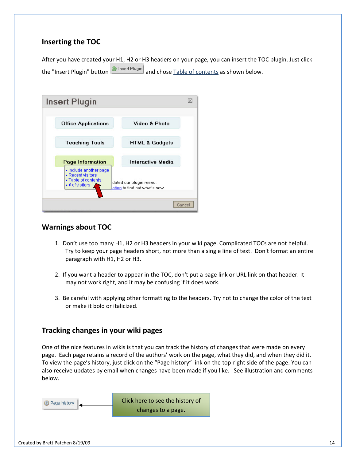#### <span id="page-13-0"></span>**Inserting the TOC**

After you have created your H1, H2 or H3 headers on your page, you can insert the TOC plugin. Just click the "Insert Plugin" button **All Insert Plugin** and chose Table of contents as shown below.

| <b>Insert Plugin</b>                                                                          |                                                          |  |
|-----------------------------------------------------------------------------------------------|----------------------------------------------------------|--|
| <b>Office Applications</b>                                                                    | Video & Photo                                            |  |
| <b>Teaching Tools</b>                                                                         | <b>HTML &amp; Gadgets</b>                                |  |
| <b>Page Information</b>                                                                       | Interactive Media                                        |  |
| · Include another page<br>- Recent visitors<br>- Table of contents<br>$\bullet$ # of visitors | dated our plugin menu.<br>lation to find out what's new. |  |
|                                                                                               | Cancel                                                   |  |

#### **Warnings about TOC**

- 1. Don't use too many H1, H2 or H3 headers in your wiki page. Complicated TOCs are not helpful. Try to keep your page headers short, not more than a single line of text. Don't format an entire paragraph with H1, H2 or H3.
- 2. If you want a header to appear in the TOC, don't put a page link or URL link on that header. It may not work right, and it may be confusing if it does work.
- 3. Be careful with applying other formatting to the headers. Try not to change the color of the text or make it bold or italicized.

#### **Tracking changes in your wiki pages**

One of the nice features in wikis is that you can track the history of changes that were made on every page. Each page retains a record of the authors' work on the page, what they did, and when they did it. To view the page's history, just click on the "Page history" link on the top-right side of the page. You can also receive updates by email when changes have been made if you like. See illustration and comments below.

```
Click here to see the history of 
B Page history
                                      changes to a page.
```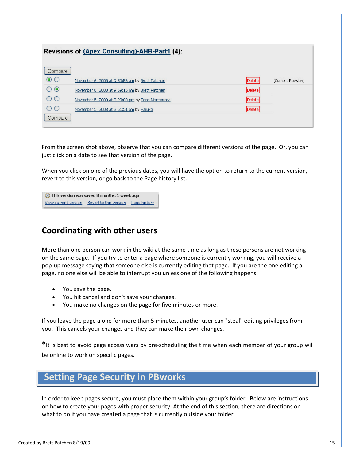#### <span id="page-14-0"></span>Revisions of (Apex Consulting)-AHB-Part1 (4):

| Compare         |                                                   |        |                    |
|-----------------|---------------------------------------------------|--------|--------------------|
| $\odot$ $\odot$ | November 6, 2008 at 9:59:56 am by Brett Patchen   | Delete | (Current Revision) |
| 00              | November 6, 2008 at 9:59:15 am by Brett Patchen   | Delete |                    |
| $\bigcirc$      | November 5, 2008 at 3:29:08 pm by Edna Monterrosa | Delete |                    |
| $\bigcirc$      | November 5, 2008 at 2:51:51 am by Haruko          | Delete |                    |
| Compare         |                                                   |        |                    |

From the screen shot above, observe that you can compare different versions of the page. Or, you can just click on a date to see that version of the page.

When you click on one of the previous dates, you will have the option to return to the current version, revert to this version, or go back to the Page history list.

**B** This version was saved 8 months, 1 week ago View current version Revert to this version Page history

# **Coordinating with other users**

More than one person can work in the wiki at the same time as long as these persons are not working on the same page. If you try to enter a page where someone is currently working, you will receive a pop-up message saying that someone else is currently editing that page.If you are the one editing a page, no one else will be able to interrupt you unless one of the following happens:

- You save the page.
- You hit cancel and don't save your changes.
- You make no changes on the page for five minutes or more.

If you leave the page alone for more than 5 minutes, another user can "steal" editing privileges from you. This cancels your changes and they can make their own changes.

**\***It is best to avoid page access wars by pre-scheduling the time when each member of your group will be online to work on specific pages.

# **Setting Page Security in PBworks**

In order to keep pages secure, you must place them within your group's folder. Below are instructions on how to create your pages with proper security. At the end of this section, there are directions on what to do if you have created a page that is currently outside your folder.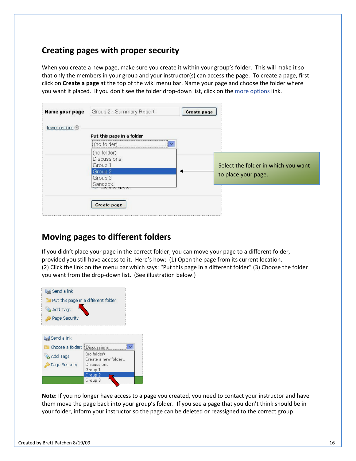# <span id="page-15-0"></span>**Creating pages with proper security**

When you create a new page, make sure you create it within your group's folder. This will make it so that only the members in your group and your instructor(s) can access the page. To create a page, first click on **Create a page** at the top of the wiki menu bar. Name your page and choose the folder where you want it placed. If you don't see the folder drop-down list, click on the more options link.

| Name your page | Group 2 - Summary Report                     | Create page |                                     |
|----------------|----------------------------------------------|-------------|-------------------------------------|
| fewer options  |                                              |             |                                     |
|                | Put this page in a folder                    |             |                                     |
|                | (no folder)                                  |             |                                     |
|                | (no folder)<br><b>Discussions</b><br>Group 1 |             | Select the folder in which you want |
|                | Group 2<br>Group 3<br>Sandbox                |             | to place your page.                 |
|                | e a comprace                                 |             |                                     |
|                | <b>Create page</b>                           |             |                                     |
|                |                                              |             |                                     |

# **Moving pages to different folders**

If you didn't place your page in the correct folder, you can move your page to a different folder, provided you still have access to it. Here's how: (1) Open the page from its current location. (2) Click the link on the menu bar which says: "Put this page in a different folder" (3) Choose the folder you want from the drop-down list. (See illustration below.)



**Note:** If you no longer have access to a page you created, you need to contact your instructor and have them move the page back into your group's folder. If you see a page that you don't think should be in your folder, inform your instructor so the page can be deleted or reassigned to the correct group.